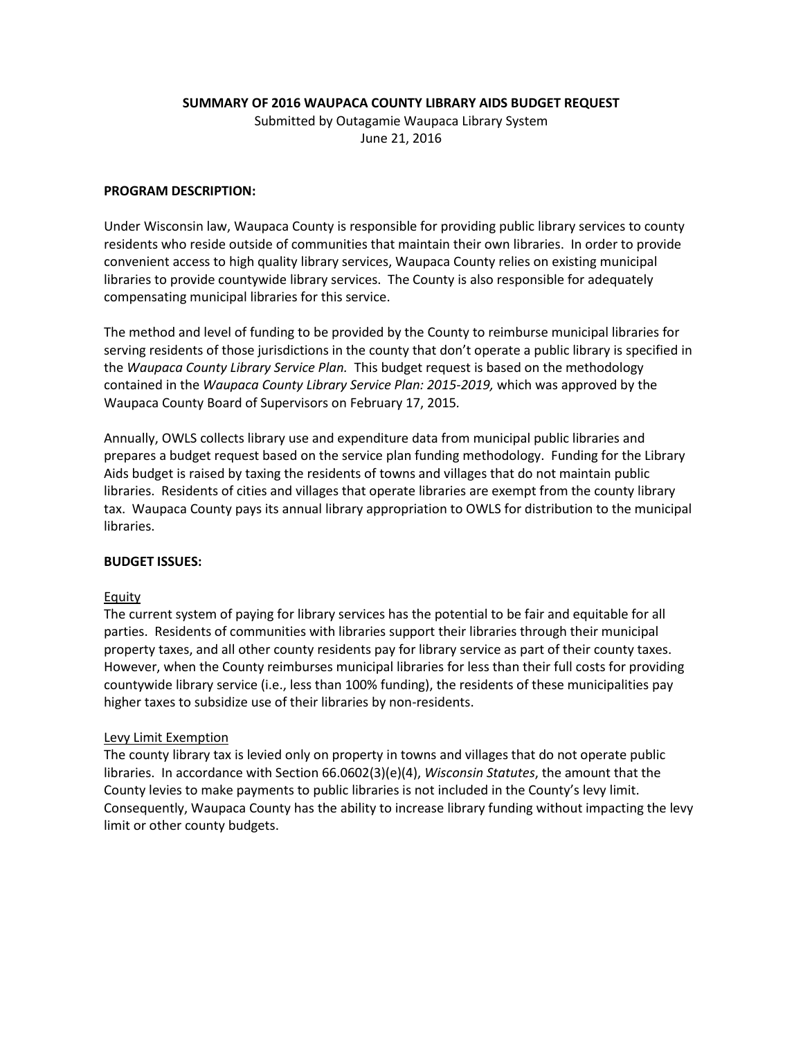**SUMMARY OF 2016 WAUPACA COUNTY LIBRARY AIDS BUDGET REQUEST**

Submitted by Outagamie Waupaca Library System June 21, 2016

## **PROGRAM DESCRIPTION:**

Under Wisconsin law, Waupaca County is responsible for providing public library services to county residents who reside outside of communities that maintain their own libraries. In order to provide convenient access to high quality library services, Waupaca County relies on existing municipal libraries to provide countywide library services. The County is also responsible for adequately compensating municipal libraries for this service.

The method and level of funding to be provided by the County to reimburse municipal libraries for serving residents of those jurisdictions in the county that don't operate a public library is specified in the *Waupaca County Library Service Plan.* This budget request is based on the methodology contained in the *Waupaca County Library Service Plan: 2015-2019,* which was approved by the Waupaca County Board of Supervisors on February 17, 2015*.*

Annually, OWLS collects library use and expenditure data from municipal public libraries and prepares a budget request based on the service plan funding methodology. Funding for the Library Aids budget is raised by taxing the residents of towns and villages that do not maintain public libraries. Residents of cities and villages that operate libraries are exempt from the county library tax. Waupaca County pays its annual library appropriation to OWLS for distribution to the municipal libraries.

## **BUDGET ISSUES:**

## Equity

The current system of paying for library services has the potential to be fair and equitable for all parties. Residents of communities with libraries support their libraries through their municipal property taxes, and all other county residents pay for library service as part of their county taxes. However, when the County reimburses municipal libraries for less than their full costs for providing countywide library service (i.e., less than 100% funding), the residents of these municipalities pay higher taxes to subsidize use of their libraries by non-residents.

## Levy Limit Exemption

The county library tax is levied only on property in towns and villages that do not operate public libraries. In accordance with Section 66.0602(3)(e)(4), *Wisconsin Statutes*, the amount that the County levies to make payments to public libraries is not included in the County's levy limit. Consequently, Waupaca County has the ability to increase library funding without impacting the levy limit or other county budgets.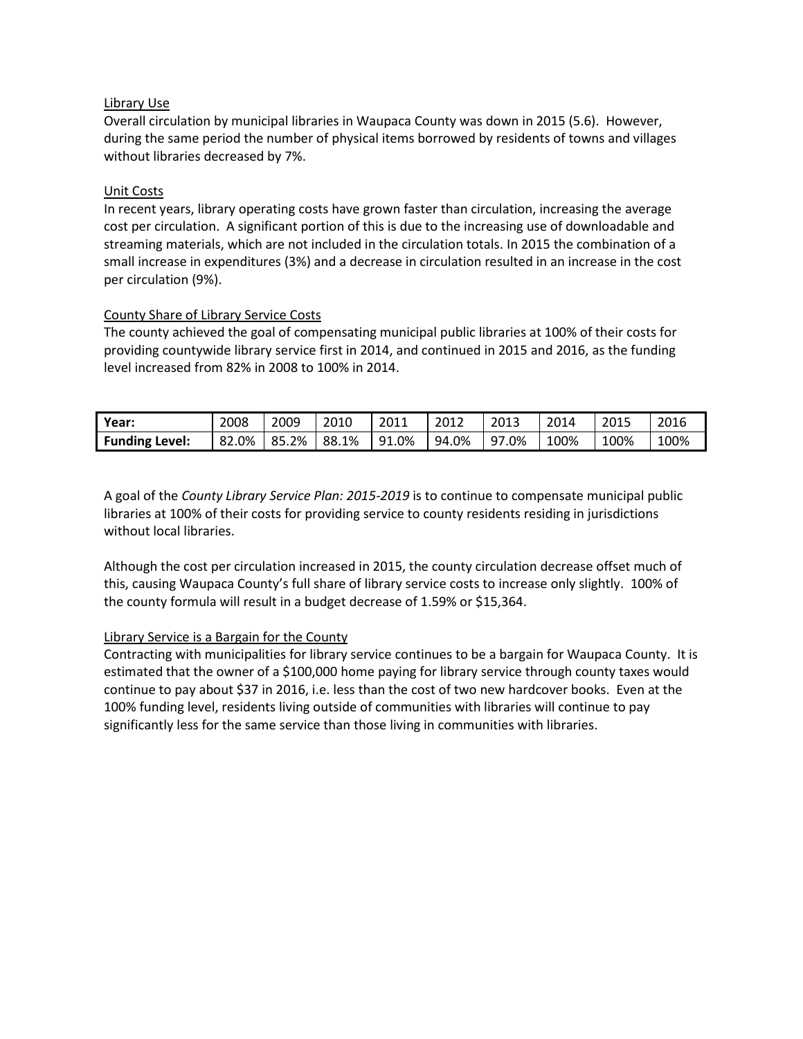## Library Use

Overall circulation by municipal libraries in Waupaca County was down in 2015 (5.6). However, during the same period the number of physical items borrowed by residents of towns and villages without libraries decreased by 7%.

## Unit Costs

In recent years, library operating costs have grown faster than circulation, increasing the average cost per circulation. A significant portion of this is due to the increasing use of downloadable and streaming materials, which are not included in the circulation totals. In 2015 the combination of a small increase in expenditures (3%) and a decrease in circulation resulted in an increase in the cost per circulation (9%).

## County Share of Library Service Costs

The county achieved the goal of compensating municipal public libraries at 100% of their costs for providing countywide library service first in 2014, and continued in 2015 and 2016, as the funding level increased from 82% in 2008 to 100% in 2014.

| Year:                 | 2008  | 2009  | 2010  | 2011  | 2012  | 2013         | 2014 | 2015 | 2016 |
|-----------------------|-------|-------|-------|-------|-------|--------------|------|------|------|
| <b>Funding Level:</b> | 82.0% | 85.2% | 88.1% | 91.0% | 94.0% | 97<br>$.0\%$ | 100% | 100% | 100% |

A goal of the *County Library Service Plan: 2015-2019* is to continue to compensate municipal public libraries at 100% of their costs for providing service to county residents residing in jurisdictions without local libraries.

Although the cost per circulation increased in 2015, the county circulation decrease offset much of this, causing Waupaca County's full share of library service costs to increase only slightly. 100% of the county formula will result in a budget decrease of 1.59% or \$15,364.

## Library Service is a Bargain for the County

Contracting with municipalities for library service continues to be a bargain for Waupaca County. It is estimated that the owner of a \$100,000 home paying for library service through county taxes would continue to pay about \$37 in 2016, i.e. less than the cost of two new hardcover books. Even at the 100% funding level, residents living outside of communities with libraries will continue to pay significantly less for the same service than those living in communities with libraries.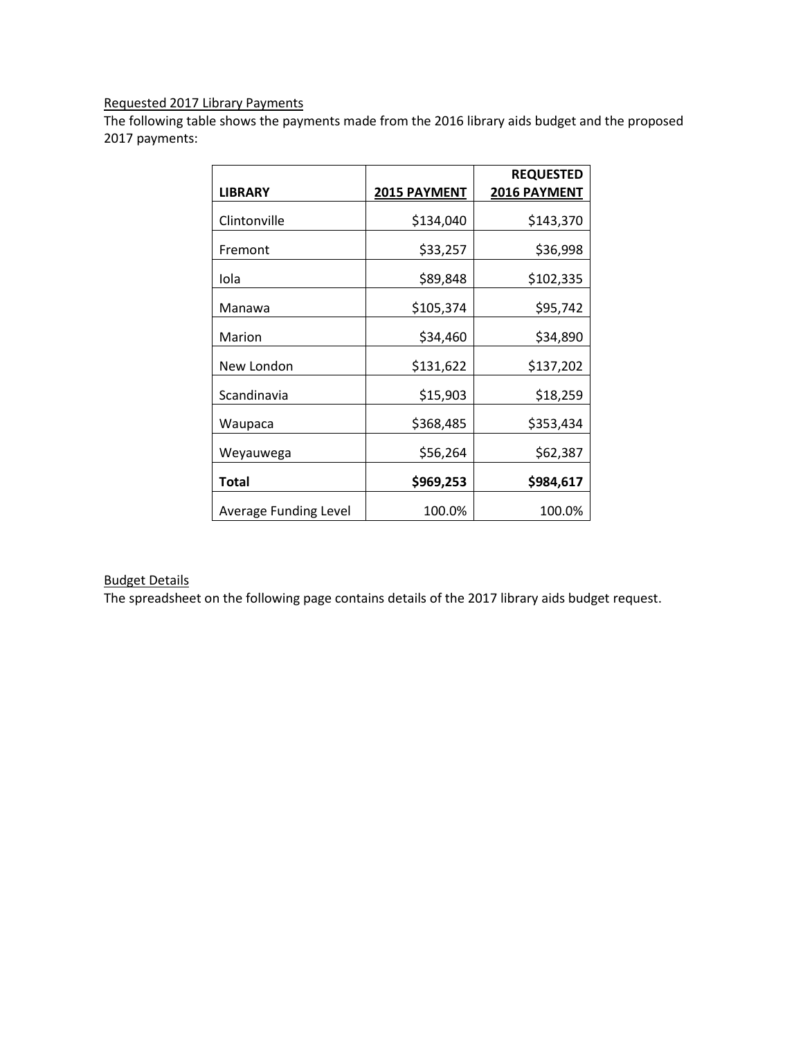# Requested 2017 Library Payments

The following table shows the payments made from the 2016 library aids budget and the proposed 2017 payments:

|                       |                     | <b>REQUESTED</b> |  |  |
|-----------------------|---------------------|------------------|--|--|
| <b>LIBRARY</b>        | <b>2015 PAYMENT</b> | 2016 PAYMENT     |  |  |
| Clintonville          | \$134,040           | \$143,370        |  |  |
| Fremont               | \$33,257            | \$36,998         |  |  |
| Iola                  | \$89,848            | \$102,335        |  |  |
| Manawa                | \$105,374           | \$95,742         |  |  |
| Marion                | \$34,460            | \$34,890         |  |  |
| New London            | \$131,622           | \$137,202        |  |  |
| Scandinavia           | \$15,903            | \$18,259         |  |  |
| Waupaca               | \$368,485           | \$353,434        |  |  |
| Weyauwega             | \$56,264            | \$62,387         |  |  |
| <b>Total</b>          | \$969,253           | \$984,617        |  |  |
| Average Funding Level | 100.0%              | 100.0%           |  |  |

## Budget Details

The spreadsheet on the following page contains details of the 2017 library aids budget request.